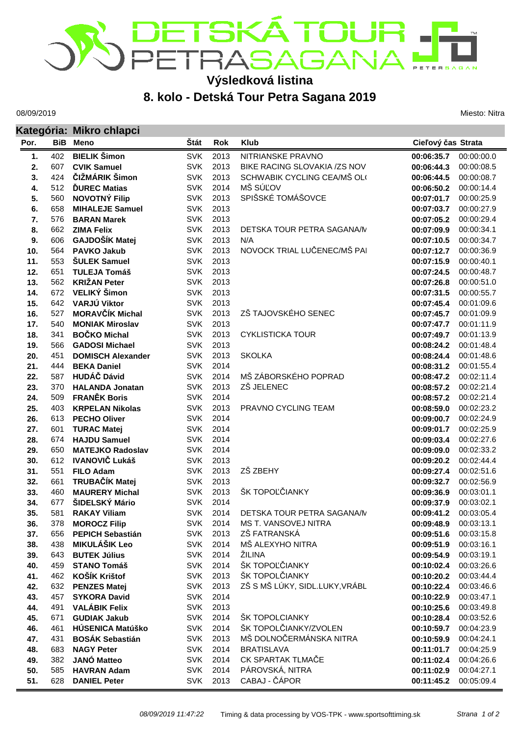## DETSKÁTOUR . **ETERSAGAN**

## **Výsledková listina**

## **8. kolo - Detská Tour Petra Sagana 2019**

08/09/2019

Miesto: Nitra

|      |            | Kategória: Mikro chlapci |            |      |                               |                    |            |  |  |
|------|------------|--------------------------|------------|------|-------------------------------|--------------------|------------|--|--|
| Por. | <b>BiB</b> | Meno                     | Štát       | Rok  | <b>Klub</b>                   | Cieľový čas Strata |            |  |  |
| 1.   | 402        | <b>BIELIK Šimon</b>      | <b>SVK</b> | 2013 | NITRIANSKE PRAVNO             | 00:06:35.7         | 00:00:00.0 |  |  |
| 2.   | 607        | <b>CVIK Samuel</b>       | <b>SVK</b> | 2013 | BIKE RACING SLOVAKIA /ZS NOV  | 00:06:44.3         | 00:00:08.5 |  |  |
| 3.   | 424        | ČIŽMÁRIK Šimon           | <b>SVK</b> | 2013 | SCHWABIK CYCLING CEA/MŠ OL(   | 00:06:44.5         | 00:00:08.7 |  |  |
| 4.   | 512        | <b>DUREC Matias</b>      | <b>SVK</b> | 2014 | MŠ SÚĽOV                      | 00:06:50.2         | 00:00:14.4 |  |  |
| 5.   | 560        | <b>NOVOTNÝ Filip</b>     | <b>SVK</b> | 2013 | SPIŠSKÉ TOMÁŠOVCE             | 00:07:01.7         | 00:00:25.9 |  |  |
| 6.   | 658        | <b>MIHALEJE Samuel</b>   | <b>SVK</b> | 2013 |                               | 00:07:03.7         | 00:00:27.9 |  |  |
| 7.   | 576        | <b>BARAN Marek</b>       | <b>SVK</b> | 2013 |                               | 00:07:05.2         | 00:00:29.4 |  |  |
| 8.   | 662        | <b>ZIMA Felix</b>        | <b>SVK</b> | 2013 | DETSKA TOUR PETRA SAGANA/M    | 00:07:09.9         | 00:00:34.1 |  |  |
| 9.   | 606        | GAJDOŠÍK Matej           | <b>SVK</b> | 2013 | N/A                           | 00:07:10.5         | 00:00:34.7 |  |  |
| 10.  | 564        | <b>PAVKO Jakub</b>       | <b>SVK</b> | 2013 | NOVOCK TRIAL LUČENEC/MŠ PAI   | 00:07:12.7         | 00:00:36.9 |  |  |
| 11.  | 553        | <b>SULEK Samuel</b>      | <b>SVK</b> | 2013 |                               | 00:07:15.9         | 00:00:40.1 |  |  |
| 12.  | 651        | <b>TULEJA Tomáš</b>      | <b>SVK</b> | 2013 |                               | 00:07:24.5         | 00:00:48.7 |  |  |
| 13.  | 562        | <b>KRIŽAN Peter</b>      | <b>SVK</b> | 2013 |                               | 00:07:26.8         | 00:00:51.0 |  |  |
| 14.  | 672        | VELIKÝ Šimon             | <b>SVK</b> | 2013 |                               | 00:07:31.5         | 00:00:55.7 |  |  |
| 15.  | 642        | VARJÚ Viktor             | <b>SVK</b> | 2013 |                               | 00:07:45.4         | 00:01:09.6 |  |  |
| 16.  | 527        | <b>MORAVČÍK Michal</b>   | <b>SVK</b> | 2013 | ZŠ TAJOVSKÉHO SENEC           | 00:07:45.7         | 00:01:09.9 |  |  |
| 17.  | 540        | <b>MONIAK Miroslav</b>   | <b>SVK</b> | 2013 |                               | 00:07:47.7         | 00:01:11.9 |  |  |
| 18.  | 341        | <b>BOČKO Michal</b>      | <b>SVK</b> | 2013 | <b>CYKLISTICKA TOUR</b>       | 00:07:49.7         | 00:01:13.9 |  |  |
| 19.  | 566        | <b>GADOSI Michael</b>    | <b>SVK</b> | 2013 |                               | 00:08:24.2         | 00:01:48.4 |  |  |
| 20.  | 451        | <b>DOMISCH Alexander</b> | <b>SVK</b> | 2013 | <b>SKOLKA</b>                 | 00:08:24.4         | 00:01:48.6 |  |  |
| 21.  | 444        | <b>BEKA Daniel</b>       | <b>SVK</b> | 2014 |                               | 00:08:31.2         | 00:01:55.4 |  |  |
| 22.  | 587        | <b>HUDÁČ Dávid</b>       | <b>SVK</b> | 2014 | MŠ ZÁBORSKÉHO POPRAD          | 00:08:47.2         | 00:02:11.4 |  |  |
| 23.  | 370        | <b>HALANDA Jonatan</b>   | <b>SVK</b> | 2013 | ZŠ JELENEC                    | 00:08:57.2         | 00:02:21.4 |  |  |
| 24.  | 509        | <b>FRANĚK Boris</b>      | <b>SVK</b> | 2014 |                               | 00:08:57.2         | 00:02:21.4 |  |  |
| 25.  | 403        | <b>KRPELAN Nikolas</b>   | <b>SVK</b> | 2013 | PRAVNO CYCLING TEAM           | 00:08:59.0         | 00:02:23.2 |  |  |
| 26.  | 613        | <b>PECHO Oliver</b>      | <b>SVK</b> | 2014 |                               | 00:09:00.7         | 00:02:24.9 |  |  |
| 27.  | 601        | <b>TURAC Matej</b>       | <b>SVK</b> | 2014 |                               | 00:09:01.7         | 00:02:25.9 |  |  |
| 28.  | 674        | <b>HAJDU Samuel</b>      | <b>SVK</b> | 2014 |                               | 00:09:03.4         | 00:02:27.6 |  |  |
| 29.  | 650        | <b>MATEJKO Radoslav</b>  | <b>SVK</b> | 2014 |                               | 00:09:09.0         | 00:02:33.2 |  |  |
| 30.  | 612        | <b>IVANOVIČ Lukáš</b>    | <b>SVK</b> | 2013 |                               | 00:09:20.2         | 00:02:44.4 |  |  |
| 31.  | 551        | <b>FILO Adam</b>         | <b>SVK</b> | 2013 | ZŠ ZBEHY                      | 00:09:27.4         | 00:02:51.6 |  |  |
| 32.  | 661        | TRUBAČÍK Matej           | <b>SVK</b> | 2013 |                               | 00:09:32.7         | 00:02:56.9 |  |  |
| 33.  | 460        | <b>MAURERY Michal</b>    | <b>SVK</b> | 2013 | ŠK TOPOĽČIANKY                | 00:09:36.9         | 00:03:01.1 |  |  |
| 34.  | 677        | ŠIDELSKÝ Mário           | <b>SVK</b> | 2014 |                               | 00:09:37.9         | 00:03:02.1 |  |  |
| 35.  | 581        | <b>RAKAY Viliam</b>      | <b>SVK</b> | 2014 | DETSKA TOUR PETRA SAGANA/M    | 00:09:41.2         | 00:03:05.4 |  |  |
| 36.  | 378        | <b>MOROCZ Filip</b>      | <b>SVK</b> | 2014 | MS T. VANSOVEJ NITRA          | 00:09:48.9         | 00:03:13.1 |  |  |
| 37.  | 656        | <b>PEPICH Sebastián</b>  | <b>SVK</b> | 2013 | ZŠ FATRANSKÁ                  | 00:09:51.6         | 00:03:15.8 |  |  |
| 38.  | 438        | <b>MIKULÁŠIK Leo</b>     | <b>SVK</b> | 2014 | MŠ ALEXYHO NITRA              | 00:09:51.9         | 00:03:16.1 |  |  |
| 39.  | 643        | <b>BUTEK Július</b>      | <b>SVK</b> | 2014 | ŽILINA                        | 00:09:54.9         | 00:03:19.1 |  |  |
| 40.  | 459        | <b>STANO Tomáš</b>       | <b>SVK</b> | 2014 | ŠK TOPOĽČIANKY                | 00:10:02.4         | 00:03:26.6 |  |  |
| 41.  | 462        | KOŠÍK Krištof            | <b>SVK</b> | 2013 | ŠK TOPOLČIANKY                | 00:10:20.2         | 00:03:44.4 |  |  |
| 42.  | 632        | <b>PENZES Matej</b>      | <b>SVK</b> | 2013 | ZŠ S MŠ LÚKY, SIDL.LUKY,VRÁBL | 00:10:22.4         | 00:03:46.6 |  |  |
| 43.  | 457        | <b>SYKORA David</b>      | <b>SVK</b> | 2014 |                               | 00:10:22.9         | 00:03:47.1 |  |  |
| 44.  | 491        | <b>VALÁBIK Felix</b>     | <b>SVK</b> | 2013 |                               | 00:10:25.6         | 00:03:49.8 |  |  |
| 45.  | 671        | <b>GUDIAK Jakub</b>      | <b>SVK</b> | 2014 | ŠK TOPOLCIANKY                | 00:10:28.4         | 00:03:52.6 |  |  |
| 46.  | 461        | HÚSENICA Matúško         | <b>SVK</b> | 2014 | ŠK TOPOLČIANKY/ZVOLEN         | 00:10:59.7         | 00:04:23.9 |  |  |
| 47.  | 431        | <b>BOSÁK Sebastián</b>   | <b>SVK</b> | 2013 | MŠ DOLNOČERMÁNSKA NITRA       | 00:10:59.9         | 00:04:24.1 |  |  |
| 48.  | 683        | <b>NAGY Peter</b>        | <b>SVK</b> | 2014 | <b>BRATISLAVA</b>             | 00:11:01.7         | 00:04:25.9 |  |  |
| 49.  | 382        | <b>JANÓ Matteo</b>       | <b>SVK</b> | 2014 | CK SPARTAK TLMAČE             | 00:11:02.4         | 00:04:26.6 |  |  |
| 50.  | 585        | <b>HAVRAN Adam</b>       | <b>SVK</b> | 2014 | PÁROVSKÁ, NITRA               | 00:11:02.9         | 00:04:27.1 |  |  |
| 51.  | 628        | <b>DANIEL Peter</b>      | <b>SVK</b> | 2013 | CABAJ - ČÁPOR                 | 00:11:45.2         | 00:05:09.4 |  |  |